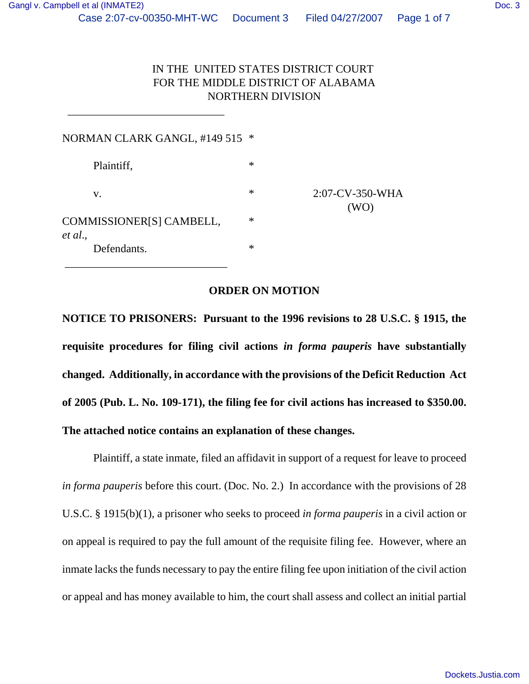## IN THE UNITED STATES DISTRICT COURT FOR THE MIDDLE DISTRICT OF ALABAMA NORTHERN DIVISION

| NORMAN CLARK GANGL, #149 515 *      |        |                         |
|-------------------------------------|--------|-------------------------|
| Plaintiff,                          | ∗      |                         |
| V.                                  | ∗      | 2:07-CV-350-WHA<br>(WO) |
| COMMISSIONER[S] CAMBELL,<br>et al., | $\ast$ |                         |
| Defendants.                         | $\ast$ |                         |

 $\frac{1}{\sqrt{2\pi}}$  ,  $\frac{1}{\sqrt{2\pi}}$  ,  $\frac{1}{\sqrt{2\pi}}$  ,  $\frac{1}{\sqrt{2\pi}}$  ,  $\frac{1}{\sqrt{2\pi}}$  ,  $\frac{1}{\sqrt{2\pi}}$  ,  $\frac{1}{\sqrt{2\pi}}$  ,  $\frac{1}{\sqrt{2\pi}}$  ,  $\frac{1}{\sqrt{2\pi}}$  ,  $\frac{1}{\sqrt{2\pi}}$  ,  $\frac{1}{\sqrt{2\pi}}$  ,  $\frac{1}{\sqrt{2\pi}}$  ,  $\frac{1}{\sqrt{2\pi}}$  ,

## **ORDER ON MOTION**

**NOTICE TO PRISONERS: Pursuant to the 1996 revisions to 28 U.S.C. § 1915, the requisite procedures for filing civil actions** *in forma pauperis* **have substantially changed. Additionally, in accordance with the provisions of the Deficit Reduction Act of 2005 (Pub. L. No. 109-171), the filing fee for civil actions has increased to \$350.00. The attached notice contains an explanation of these changes.**

Plaintiff, a state inmate, filed an affidavit in support of a request for leave to proceed *in forma pauperis* before this court. (Doc. No. 2.) In accordance with the provisions of 28 U.S.C. § 1915(b)(1), a prisoner who seeks to proceed *in forma pauperis* in a civil action or on appeal is required to pay the full amount of the requisite filing fee. However, where an inmate lacks the funds necessary to pay the entire filing fee upon initiation of the civil action or appeal and has money available to him, the court shall assess and collect an initial partial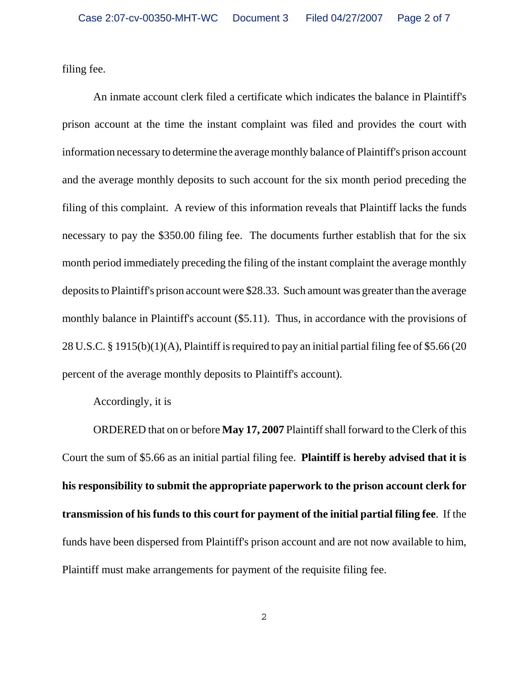filing fee.

An inmate account clerk filed a certificate which indicates the balance in Plaintiff's prison account at the time the instant complaint was filed and provides the court with information necessary to determine the average monthly balance of Plaintiff's prison account and the average monthly deposits to such account for the six month period preceding the filing of this complaint. A review of this information reveals that Plaintiff lacks the funds necessary to pay the \$350.00 filing fee. The documents further establish that for the six month period immediately preceding the filing of the instant complaint the average monthly deposits to Plaintiff's prison account were \$28.33. Such amount was greater than the average monthly balance in Plaintiff's account (\$5.11). Thus, in accordance with the provisions of 28 U.S.C. § 1915(b)(1)(A), Plaintiff is required to pay an initial partial filing fee of \$5.66 (20 percent of the average monthly deposits to Plaintiff's account).

Accordingly, it is

ORDERED that on or before **May 17, 2007** Plaintiff shall forward to the Clerk of this Court the sum of \$5.66 as an initial partial filing fee. **Plaintiff is hereby advised that it is his responsibility to submit the appropriate paperwork to the prison account clerk for transmission of his funds to this court for payment of the initial partial filing fee**. If the funds have been dispersed from Plaintiff's prison account and are not now available to him, Plaintiff must make arrangements for payment of the requisite filing fee.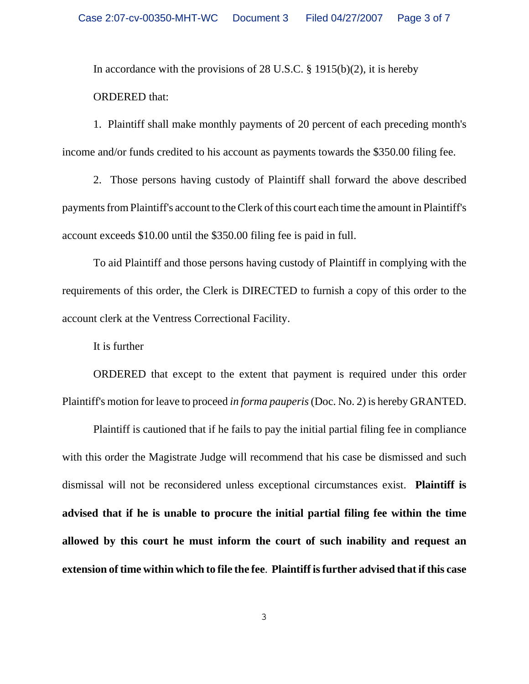In accordance with the provisions of 28 U.S.C.  $\S$  1915(b)(2), it is hereby ORDERED that:

1. Plaintiff shall make monthly payments of 20 percent of each preceding month's income and/or funds credited to his account as payments towards the \$350.00 filing fee.

2. Those persons having custody of Plaintiff shall forward the above described payments from Plaintiff's account to the Clerk of this court each time the amount in Plaintiff's account exceeds \$10.00 until the \$350.00 filing fee is paid in full.

To aid Plaintiff and those persons having custody of Plaintiff in complying with the requirements of this order, the Clerk is DIRECTED to furnish a copy of this order to the account clerk at the Ventress Correctional Facility.

It is further

ORDERED that except to the extent that payment is required under this order Plaintiff's motion for leave to proceed *in forma pauperis* (Doc. No. 2) is hereby GRANTED.

Plaintiff is cautioned that if he fails to pay the initial partial filing fee in compliance with this order the Magistrate Judge will recommend that his case be dismissed and such dismissal will not be reconsidered unless exceptional circumstances exist. **Plaintiff is advised that if he is unable to procure the initial partial filing fee within the time allowed by this court he must inform the court of such inability and request an extension of time within which to file the fee**. **Plaintiff is further advised that if this case**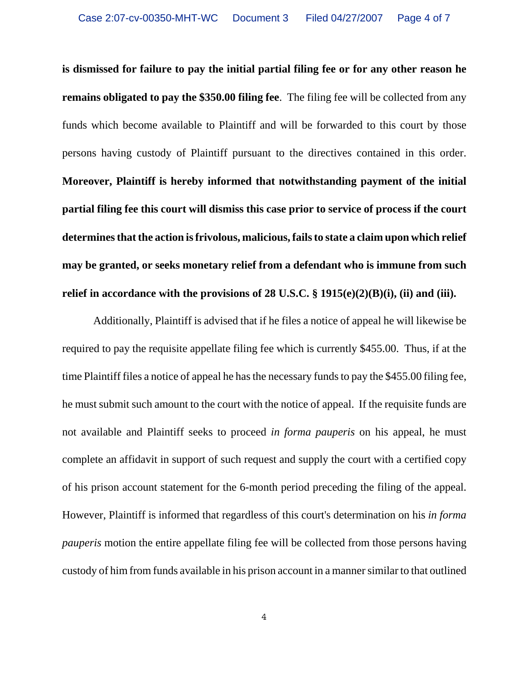**is dismissed for failure to pay the initial partial filing fee or for any other reason he remains obligated to pay the \$350.00 filing fee**. The filing fee will be collected from any funds which become available to Plaintiff and will be forwarded to this court by those persons having custody of Plaintiff pursuant to the directives contained in this order. **Moreover, Plaintiff is hereby informed that notwithstanding payment of the initial partial filing fee this court will dismiss this case prior to service of process if the court determines that the action is frivolous, malicious, fails to state a claim upon which relief may be granted, or seeks monetary relief from a defendant who is immune from such relief in accordance with the provisions of 28 U.S.C. § 1915(e)(2)(B)(i), (ii) and (iii).**

Additionally, Plaintiff is advised that if he files a notice of appeal he will likewise be required to pay the requisite appellate filing fee which is currently \$455.00. Thus, if at the time Plaintiff files a notice of appeal he has the necessary funds to pay the \$455.00 filing fee, he must submit such amount to the court with the notice of appeal. If the requisite funds are not available and Plaintiff seeks to proceed *in forma pauperis* on his appeal, he must complete an affidavit in support of such request and supply the court with a certified copy of his prison account statement for the 6-month period preceding the filing of the appeal. However, Plaintiff is informed that regardless of this court's determination on his *in forma pauperis* motion the entire appellate filing fee will be collected from those persons having custody of him from funds available in his prison account in a manner similar to that outlined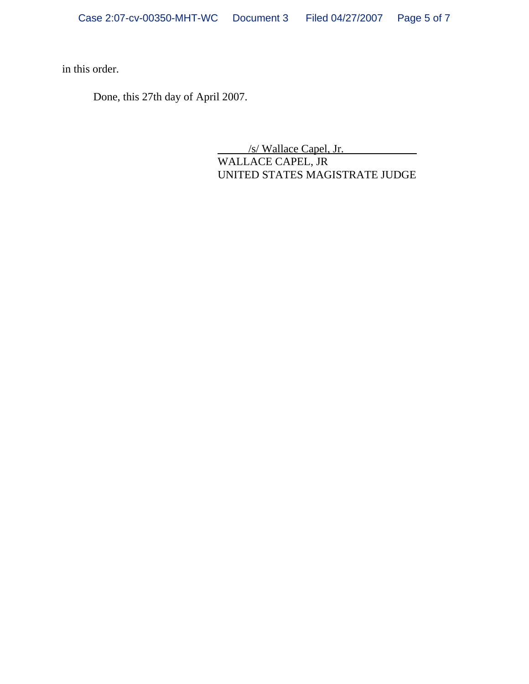in this order.

Done, this 27th day of April 2007.

/s/ Wallace Capel, Jr.

WALLACE CAPEL, JR UNITED STATES MAGISTRATE JUDGE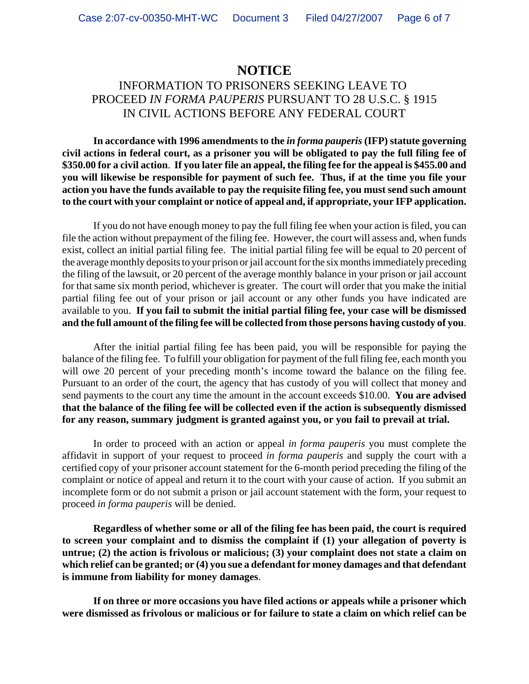## **NOTICE**

## INFORMATION TO PRISONERS SEEKING LEAVE TO PROCEED *IN FORMA PAUPERIS* PURSUANT TO 28 U.S.C. § 1915 IN CIVIL ACTIONS BEFORE ANY FEDERAL COURT

**In accordance with 1996 amendments to the** *in forma pauperis* **(IFP) statute governing civil actions in federal court, as a prisoner you will be obligated to pay the full filing fee of \$350.00 for a civil action**. **If you later file an appeal, the filing fee for the appeal is \$455.00 and you will likewise be responsible for payment of such fee. Thus, if at the time you file your action you have the funds available to pay the requisite filing fee, you must send such amount to the court with your complaint or notice of appeal and, if appropriate, your IFP application.**

If you do not have enough money to pay the full filing fee when your action is filed, you can file the action without prepayment of the filing fee. However, the court will assess and, when funds exist, collect an initial partial filing fee. The initial partial filing fee will be equal to 20 percent of the average monthly deposits to your prison or jail account for the six months immediately preceding the filing of the lawsuit, or 20 percent of the average monthly balance in your prison or jail account for that same six month period, whichever is greater. The court will order that you make the initial partial filing fee out of your prison or jail account or any other funds you have indicated are available to you. **If you fail to submit the initial partial filing fee, your case will be dismissed and the full amount of the filing fee will be collected from those persons having custody of you**.

After the initial partial filing fee has been paid, you will be responsible for paying the balance of the filing fee. To fulfill your obligation for payment of the full filing fee, each month you will owe 20 percent of your preceding month's income toward the balance on the filing fee. Pursuant to an order of the court, the agency that has custody of you will collect that money and send payments to the court any time the amount in the account exceeds \$10.00. **You are advised that the balance of the filing fee will be collected even if the action is subsequently dismissed for any reason, summary judgment is granted against you, or you fail to prevail at trial.** 

In order to proceed with an action or appeal *in forma pauperis* you must complete the affidavit in support of your request to proceed *in forma pauperis* and supply the court with a certified copy of your prisoner account statement for the 6-month period preceding the filing of the complaint or notice of appeal and return it to the court with your cause of action. If you submit an incomplete form or do not submit a prison or jail account statement with the form, your request to proceed *in forma pauperis* will be denied.

**Regardless of whether some or all of the filing fee has been paid, the court is required to screen your complaint and to dismiss the complaint if (1) your allegation of poverty is untrue; (2) the action is frivolous or malicious; (3) your complaint does not state a claim on which relief can be granted; or (4) you sue a defendant for money damages and that defendant is immune from liability for money damages**.

**If on three or more occasions you have filed actions or appeals while a prisoner which were dismissed as frivolous or malicious or for failure to state a claim on which relief can be**